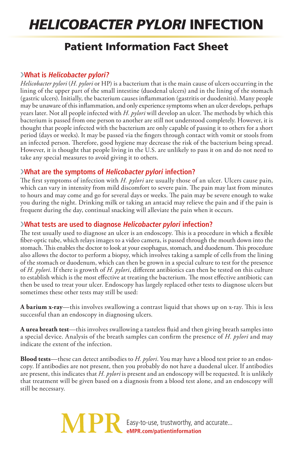# *Helicobacter pylori* Infection

# Patient Information Fact Sheet

### ›**What is Helicobacter pylori?**

*Helicobacter pylori* (*H. pylori* or HP) is a bacterium that is the main cause of ulcers occurring in the lining of the upper part of the small intestine (duodenal ulcers) and in the lining of the stomach (gastric ulcers). Initially, the bacterium causes inflammation (gastritis or duodenitis). Many people may be unaware of this inflammation, and only experience symptoms when an ulcer develops, perhaps years later. Not all people infected with *H. pylori* will develop an ulcer. The methods by which this bacterium is passed from one person to another are still not understood completely. However, it is thought that people infected with the bacterium are only capable of passing it to others for a short period (days or weeks). It may be passed via the fingers through contact with vomit or stools from an infected person. Therefore, good hygiene may decrease the risk of the bacterium being spread. However, it is thought that people living in the U.S. are unlikely to pass it on and do not need to take any special measures to avoid giving it to others.

#### ›**What are the symptoms of Helicobacter pylori infection?**

The first symptoms of infection with *H. pylori* are usually those of an ulcer. Ulcers cause pain, which can vary in intensity from mild discomfort to severe pain. The pain may last from minutes to hours and may come and go for several days or weeks. The pain may be severe enough to wake you during the night. Drinking milk or taking an antacid may relieve the pain and if the pain is frequent during the day, continual snacking will alleviate the pain when it occurs.

## ›**What tests are used to diagnose Helicobacter pylori infection?**

The test usually used to diagnose an ulcer is an endoscopy. This is a procedure in which a flexible fiber-optic tube, which relays images to a video camera, is passed through the mouth down into the stomach. This enables the doctor to look at your esophagus, stomach, and duodenum. This procedure also allows the doctor to perform a biopsy, which involves taking a sample of cells from the lining of the stomach or duodenum, which can then be grown in a special culture to test for the presence of *H. pylori*. If there is growth of *H. pylori*, different antibiotics can then be tested on this culture to establish which is the most effective at treating the bacterium. The most effective antibiotic can then be used to treat your ulcer. Endoscopy has largely replaced other tests to diagnose ulcers but sometimes these other tests may still be used:

**A barium x-ray**—this involves swallowing a contrast liquid that shows up on x-ray. This is less successful than an endoscopy in diagnosing ulcers.

**A urea breath test**—this involves swallowing a tasteless fluid and then giving breath samples into a special device. Analysis of the breath samples can confirm the presence of *H. pylori* and may indicate the extent of the infection.

**Blood tests**—these can detect antibodies to *H. pylori*. You may have a blood test prior to an endoscopy. If antibodies are not present, then you probably do not have a duodenal ulcer. If antibodies are present, this indicates that *H. pylori* is present and an endoscopy will be requested. It is unlikely that treatment will be given based on a diagnosis from a blood test alone, and an endoscopy will still be necessary.

> Easy-to-use, trustworthy, and accurate... **eMPR.com/patientinformation**